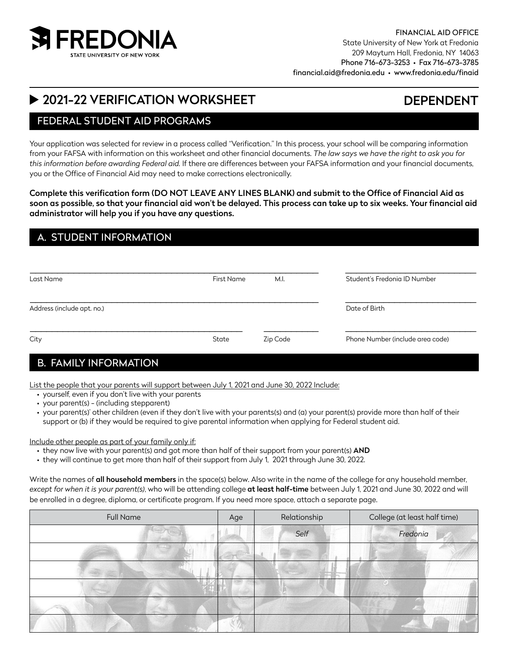

# DEPENDENT

# **12021-22 VERIFICATION WORKSHEET**

### FEDERAL STUDENT AID PROGRAMS

Your application was selected for review in a process called "Verification." In this process, your school will be comparing information from your FAFSA with information on this worksheet and other financial documents. *The law says we have the right to ask you for this information before awarding Federal aid.* If there are differences between your FAFSA information and your financial documents, you or the Office of Financial Aid may need to make corrections electronically.

Complete this verification form (DO NOT LEAVE ANY LINES BLANK) and submit to the Office of Financial Aid as soon as possible, so that your financial aid won't be delayed. This process can take up to six weeks. Your financial aid administrator will help you if you have any questions.

### A. STUDENT INFORMATION

| Last Name                  | <b>First Name</b> | M.I.     | Student's Fredonia ID Number     |
|----------------------------|-------------------|----------|----------------------------------|
| Address (include apt. no.) |                   |          | Date of Birth                    |
| City                       | State             | Zip Code | Phone Number (include area code) |

## B. FAMILY INFORMATION

List the people that your parents will support between July 1, 2021 and June 30, 2022 Include:

- yourself, even if you don't live with your parents
- your parent(s) (including stepparent)
- your parent(s)' other children (even if they don't live with your parents(s) and (a) your parent(s) provide more than half of their support or (b) if they would be required to give parental information when applying for Federal student aid.

Include other people as part of your family only if:

- they now live with your parent(s) and got more than half of their support from your parent(s) AND
- they will continue to get more than half of their support from July 1, 2021 through June 30, 2022.

Write the names of all household members in the space(s) below. Also write in the name of the college for any household member, *except for when it is your parent(s)*, who will be attending college at least half-time between July 1, 2021 and June 30, 2022 and will be enrolled in a degree, diploma, or certificate program. If you need more space, attach a separate page.

| <b>Full Name</b> | Age | Relationship | College (at least half time) |
|------------------|-----|--------------|------------------------------|
|                  |     | Self         | Fredonia                     |
|                  |     |              |                              |
|                  |     |              |                              |
|                  |     |              |                              |
|                  |     |              |                              |
|                  |     |              |                              |